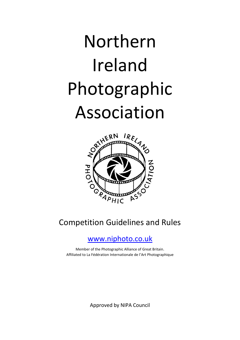# Northern Ireland Photographic Association



## Competition Guidelines and Rules

## [www.niphoto.co.uk](http://www.niphoto.co.uk/)

Member of the Photographic Alliance of Great Britain. Affiliated to La Fédération Internationale de l'Art Photographique

Approved by NIPA Council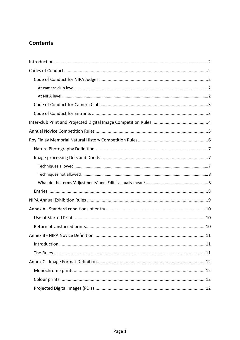## **Contents**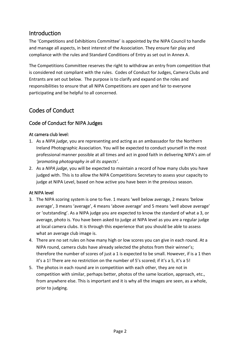## <span id="page-2-0"></span>Introduction

The 'Competitions and Exhibitions Committee' is appointed by the NIPA Council to handle and manage all aspects, in best interest of the Association. They ensure fair play and compliance with the rules and Standard Conditions of Entry as set out in Annex A.

The Competitions Committee reserves the right to withdraw an entry from competition that is considered not compliant with the rules. Codes of Conduct for Judges, Camera Clubs and Entrants are set out below. The purpose is to clarify and expand on the roles and responsibilities to ensure that all NIPA Competitions are open and fair to everyone participating and be helpful to all concerned.

## <span id="page-2-1"></span>Codes of Conduct

#### <span id="page-2-2"></span>Code of Conduct for NIPA Judges

#### <span id="page-2-3"></span>At camera club level:

- 1. As a *NIPA judge*, you are representing and acting as an ambassador for the Northern Ireland Photographic Association. You will be expected to conduct yourself in the most professional manner possible at all times and act in good faith in delivering NIPA's aim of *'promoting photography in all its aspects'*.
- 2. As a *NIPA judge*, you will be expected to maintain a record of how many clubs you have judged with. This is to allow the NIPA Competitions Secretary to assess your capacity to judge at NIPA Level, based on how active you have been in the previous season.

#### <span id="page-2-4"></span>At NIPA level

- 3. The NIPA scoring system is one to five. 1 means 'well below average, 2 means 'below average', 3 means 'average', 4 means 'above average' and 5 means 'well above average' or 'outstanding'. As a NIPA judge you are expected to know the standard of what a 3, or average, photo is. You have been asked to judge at NIPA level as you are a regular judge at local camera clubs. It is through this experience that you should be able to assess what an average club image is.
- 4. There are no set rules on how many high or low scores you can give in each round. At a NIPA round, camera clubs have already selected the photos from their winner's; therefore the number of scores of just a 1 is expected to be small. However, if is a 1 then it's a 1! There are no restriction on the number of 5's scored; if it's a 5, it's a 5!
- 5. The photos in each round are in competition with each other, they are not in competition with similar, perhaps better, photos of the same location, approach, etc., from anywhere else. This is important and it is why all the images are seen, as a whole, prior to judging.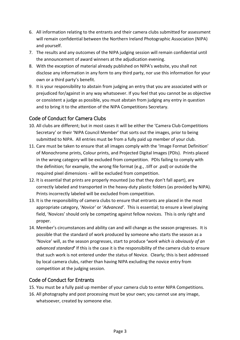- 6. All information relating to the entrants and their camera clubs submitted for assessment will remain confidential between the Northern Ireland Photographic Association (NIPA) and yourself.
- 7. The results and any outcomes of the NIPA judging session will remain confidential until the announcement of award winners at the adjudication evening.
- 8. With the exception of material already published on NIPA's website, you shall not disclose any information in any form to any third party, nor use this information for your own or a third party's benefit.
- 9. It is your responsibility to abstain from judging an entry that you are associated with or prejudiced for/against in any way whatsoever. If you feel that you cannot be as objective or consistent a judge as possible, you must abstain from judging any entry in question and to bring it to the attention of the NIPA Competitions Secretary.

#### <span id="page-3-0"></span>Code of Conduct for Camera Clubs

- 10. All clubs are different; but in most cases it will be either the 'Camera Club Competitions Secretary' or their 'NIPA Council Member' that sorts out the images, prior to being submitted to NIPA. All entries must be from a fully paid up member of your club.
- 11. Care must be taken to ensure that all images comply with the 'Image Format Definition' of Monochrome prints, Colour prints, and Projected Digital Images (PDIs). Prints placed in the wrong category will be excluded from competition. PDIs failing to comply with the definition; for example, the wrong file format (e.g., .tiff or .psd) or outside the required pixel dimensions - will be excluded from competition.
- 12. It is essential that prints are properly mounted (so that they don't fall apart), are correctly labeled and transported in the heavy-duty plastic folders (as provided by NIPA). Prints incorrectly labeled will be excluded from competition.
- 13. It is the responsibility of camera clubs to ensure that entrants are placed in the most appropriate category, '*Novice'* or '*Advanced'*. This is essential; to ensure a level playing field, 'Novices' should only be competing against fellow novices. This is only right and proper.
- 14. Member's circumstances and ability can and will change as the season progresses. It is possible that the standard of work produced by someone who starts the season as a 'Novice' will, as the season progresses, start to produce **'***work which is obviously of an advanced standard***'** If this is the case it is the responsibility of the camera club to ensure that such work is not entered under the status of Novice. Clearly; this is best addressed by local camera clubs, rather than having NIPA excluding the novice entry from competition at the judging session.

#### <span id="page-3-1"></span>Code of Conduct for Entrants

- 15. You must be a fully paid up member of your camera club to enter NIPA Competitions.
- 16. All photography and post processing must be your own; you cannot use any image, whatsoever, created by someone else.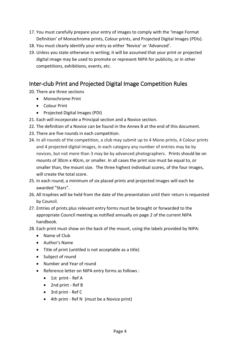- 17. You must carefully prepare your entry of images to comply with the 'Image Format Definition' of Monochrome prints, Colour prints, and Projected Digital Images (PDIs).
- 18. You must clearly identify your entry as either 'Novice' or 'Advanced'.
- 19. Unless you state otherwise in writing; it will be assumed that your print or projected digital image may be used to promote or represent NIPA for publicity, or in other competitions, exhibitions, events, etc.

## <span id="page-4-0"></span>Inter-club Print and Projected Digital Image Competition Rules

20. There are three sections

- Monochrome Print
- Colour Print
- Projected Digital Images (PDI)
- 21. Each will incorporate a Principal section and a Novice section.
- 22. The definition of a Novice can be found in the Annex B at the end of this document.
- 23. There are five rounds in each competition.
- 24. In all rounds of the competition, a club may submit up to 4 Mono prints, 4 Colour prints and 4 projected digital images, in each category any number of entries may be by novices, but not more than 3 may be by advanced photographers. Prints should be on mounts of 30cm x 40cm, or smaller. In all cases the print size must be equal to, or smaller than, the mount size. The three highest individual scores, of the four images, will create the total score.
- 25. In each round, a minimum of six placed prints and projected images will each be awarded "Stars".
- 26. All trophies will be held from the date of the presentation until their return is requested by Council.
- 27. Entries of prints plus relevant entry forms must be brought or forwarded to the appropriate Council meeting as notified annually on page 2 of the current NIPA handbook.
- 28. Each print must show on the back of the mount, using the labels provided by NIPA:
	- Name of Club
	- Author's Name
	- Title of print (untitled is not acceptable as a title)
	- Subject of round
	- Number and Year of round
	- Reference letter on NIPA entry forms as follows :
		- 1st print Ref A
		- 2nd print Ref B
		- 3rd print Ref C
		- 4th print Ref N (must be a Novice print)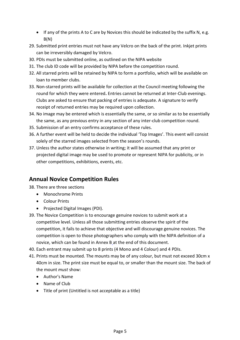- If any of the prints A to C are by Novices this should be indicated by the suffix N, e.g.  $B(N)$
- 29. Submitted print entries must not have any Velcro on the back of the print. Inkjet prints can be irreversibly damaged by Velcro.
- 30. PDIs must be submitted online, as outlined on the NIPA website
- 31. The club ID code will be provided by NIPA before the competition round.
- 32. All starred prints will be retained by NIPA to form a portfolio, which will be available on loan to member clubs.
- 33. Non-starred prints will be available for collection at the Council meeting following the round for which they were entered**.** Entries cannot be returned at Inter-Club evenings. Clubs are asked to ensure that packing of entries is adequate. A signature to verify receipt of returned entries may be required upon collection.
- 34. No image may be entered which is essentially the same, or so similar as to be essentially the same, as any previous entry in any section of any inter-club competition round.
- 35. Submission of an entry confirms acceptance of these rules.
- 36. A further event will be held to decide the individual 'Top Images'. This event will consist solely of the starred images selected from the season's rounds.
- 37. Unless the author states otherwise in writing; it will be assumed that any print or projected digital image may be used to promote or represent NIPA for publicity, or in other competitions, exhibitions, events, etc.

## <span id="page-5-0"></span>**Annual Novice Competition Rules**

38. There are three sections

- Monochrome Prints
- Colour Prints
- Projected Digital Images (PDI).
- 39. The Novice Competition is to encourage genuine novices to submit work at a competitive level. Unless all those submitting entries observe the spirit of the competition, it fails to achieve that objective and will discourage genuine novices. The competition is open to those photographers who comply with the NIPA definition of a novice, which can be found in Annex B at the end of this document.
- 40. Each entrant may submit up to 8 prints (4 Mono and 4 Colour) and 4 PDIs.
- 41. Prints must be mounted. The mounts may be of any colour, but must not exceed 30cm x 40cm in size. The print size must be equal to, or smaller than the mount size. The back of the mount *must* show:
	- Author's Name
	- Name of Club
	- Title of print (Untitled is not acceptable as a title)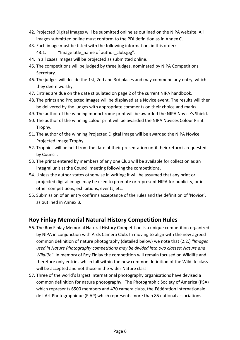- 42. Projected Digital Images will be submitted online as outlined on the NIPA website. All images submitted online must conform to the PDI definition as in Annex C.
- 43. Each image must be titled with the following information, in this order:

43.1. "Image title\_name of author\_club.jpg".

- 44. In all cases images will be projected as submitted online.
- 45. The competitions will be judged by three judges, nominated by NIPA Competitions Secretary.
- 46. The judges will decide the 1st, 2nd and 3rd places and may commend any entry, which they deem worthy.
- 47. Entries are due on the date stipulated on page 2 of the current NIPA handbook.
- 48. The prints and Projected Images will be displayed at a Novice event. The results will then be delivered by the judges with appropriate comments on their choice and marks.
- 49. The author of the winning monochrome print will be awarded the NIPA Novice's Shield.
- 50. The author of the winning colour print will be awarded the NIPA Novices Colour Print Trophy.
- 51. The author of the winning Projected Digital Image will be awarded the NIPA Novice Projected Image Trophy.
- 52. Trophies will be held from the date of their presentation until their return is requested by Council.
- 53. The prints entered by members of any one Club will be available for collection as an integral unit at the Council meeting following the competitions.
- 54. Unless the author states otherwise in writing; it will be assumed that any print or projected digital image may be used to promote or represent NIPA for publicity, or in other competitions, exhibitions, events, etc.
- 55. Submission of an entry confirms acceptance of the rules and the definition of 'Novice', as outlined in Annex B.

## <span id="page-6-0"></span>**Roy Finlay Memorial Natural History Competition Rules**

- 56. The Roy Finlay Memorial Natural History Competition is a unique competition organized by NIPA in conjunction with Ards Camera Club. In moving to align with the new agreed common definition of nature photography (detailed below) we note that (2.2.) *"Images used in Nature Photography competitions may be divided into two classes: Nature and Wildlife"*. In memory of Roy Finlay the competition will remain focused on Wildlife and therefore only entries which fall within the new common definition of the Wildlife class will be accepted and not those in the wider Nature class.
- 57. Three of the world's largest international photography organisations have devised a common definition for nature photography. The Photographic Society of America (PSA) which represents 6500 members and 470 camera clubs, the Fédération Internationale de l'Art Photographique (FIAP) which represents more than 85 national associations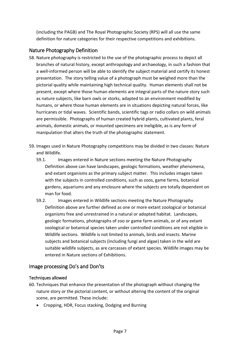(including the PAGB) and The Royal Photographic Society (RPS) will all use the same definition for nature categories for their respective competitions and exhibitions.

#### <span id="page-7-0"></span>Nature Photography Definition

- 58. Nature photography is restricted to the use of the photographic process to depict all branches of natural history, except anthropology and archaeology, in such a fashion that a well-informed person will be able to identify the subject material and certify its honest presentation. The story telling value of a photograph must be weighed more than the pictorial quality while maintaining high technical quality. Human elements shall not be present, except where those human elements are integral parts of the nature story such as nature subjects, like barn owls or storks, adapted to an environment modified by humans, or where those human elements are in situations depicting natural forces, like hurricanes or tidal waves. Scientific bands, scientific tags or radio collars on wild animals are permissible. Photographs of human created hybrid plants, cultivated plants, feral animals, domestic animals, or mounted specimens are ineligible, as is any form of manipulation that alters the truth of the photographic statement.
- 59. Images used in Nature Photography competitions may be divided in two classes: Nature and Wildlife.
	- 59.1. Images entered in Nature sections meeting the Nature Photography Definition above can have landscapes, geologic formations, weather phenomena, and extant organisms as the primary subject matter. This includes images taken with the subjects in controlled conditions, such as zoos, game farms, botanical gardens, aquariums and any enclosure where the subjects are totally dependent on man for food.
	- 59.2. Images entered in Wildlife sections meeting the Nature Photography Definition above are further defined as one or more extant zoological or botanical organisms free and unrestrained in a natural or adopted habitat. Landscapes, geologic formations, photographs of zoo or game farm animals, or of any extant zoological or botanical species taken under controlled conditions are not eligible in Wildlife sections. Wildlife is not limited to animals, birds and insects. Marine subjects and botanical subjects (including fungi and algae) taken in the wild are suitable wildlife subjects, as are carcasses of extant species. Wildlife images may be entered in Nature sections of Exhibitions.

#### <span id="page-7-1"></span>Image processing Do's and Don'ts

#### <span id="page-7-2"></span>Techniques allowed

- 60. Techniques that enhance the presentation of the photograph without changing the nature story or the pictorial content, or without altering the content of the original scene, are permitted. These include:
	- Cropping, HDR, Focus stacking, Dodging and Burning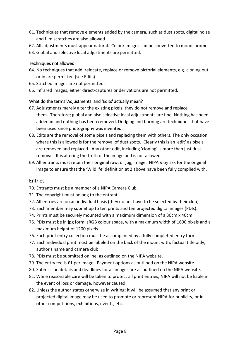- 61. Techniques that remove elements added by the camera, such as dust spots, digital noise and film scratches are also allowed.
- 62. All adjustments must appear natural. Colour images can be converted to monochrome.
- 63. Global and selective local adjustments are permitted.

#### <span id="page-8-0"></span>Techniques not allowed

- 64. No techniques that add, relocate, replace or remove pictorial elements, e.g. cloning out or in are permitted (see Edits)
- 65. Stitched images are not permitted.
- 66. Infrared images, either direct-captures or derivations are not permitted.

#### <span id="page-8-1"></span>What do the terms 'Adjustments' and 'Edits' actually mean?

- 67. Adjustments merely alter the existing pixels; they do not remove and replace them. Therefore; global and also selective local adjustments are fine. Nothing has been added in and nothing has been removed. Dodging and burning are techniques that have been used since photography was invented.
- 68. Edits are the removal of some pixels and replacing them with others. The only occasion where this is allowed is for the removal of dust spots. Clearly this is an 'edit' as pixels are removed and replaced. Any other edit, including 'cloning' is more than just dust removal. It is altering the truth of the image and is not allowed.
- 69. All entrants must retain their original raw, or jpg, image. NIPA *may* ask for the original image to ensure that the 'Wildlife' definition at 2 above have been fully complied with.

#### <span id="page-8-2"></span>Entries

- 70. Entrants must be a member of a NIPA Camera Club.
- 71. The copyright must belong to the entrant.
- 72. All entries are on an individual basis (they do not have to be selected by their club).
- 73. Each member may submit up to ten prints and ten projected digital images (PDIs).
- 74. Prints must be securely mounted with a maximum dimension of a 30cm x 40cm.
- 75. PDIs must be in jpg form, sRGB colour space, with a maximum width of 1600 pixels and a maximum height of 1200 pixels.
- 76. Each print entry collection must be accompanied by a fully completed entry form.
- 77. Each individual print must be labeled on the back of the mount with; factual title only, author's name and camera club.
- 78. PDIs must be submitted online, as outlined on the NIPA website.
- 79. The entry fee is £1 per image. Payment options as outlined on the NIPA website.
- 80. Submission details and deadlines for all images are as outlined on the NIPA website.
- 81. While reasonable care will be taken to protect all print entries; NIPA will not be liable in the event of loss or damage, however caused.
- 82. Unless the author states otherwise in writing; it will be assumed that any print or projected digital image may be used to promote or represent NIPA for publicity, or in other competitions, exhibitions, events, etc.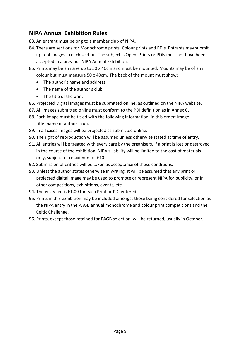## <span id="page-9-0"></span>**NIPA Annual Exhibition Rules**

- 83. An entrant must belong to a member club of NIPA.
- 84. There are sections for Monochrome prints, Colour prints and PDIs. Entrants may submit up to 4 images in each section. The subject is Open. Prints or PDIs must not have been accepted in a previous NIPA Annual Exhibition.
- 85. Prints may be any size up to 50 x 40cm and must be mounted. Mounts may be of any colour but must measure 50 x 40cm. The back of the mount must show:
	- The author's name and address
	- The name of the author's club
	- The title of the print
- 86. Projected Digital Images must be submitted online, as outlined on the NIPA website.
- 87. All images submitted online must conform to the PDI definition as in Annex C.
- 88. Each image must be titled with the following information, in this order: Image title\_name of author\_club.
- 89. In all cases images will be projected as submitted online.
- 90. The right of reproduction will be assumed unless otherwise stated at time of entry.
- 91. All entries will be treated with every care by the organisers. If a print is lost or destroyed in the course of the exhibition, NIPA's liability will be limited to the cost of materials only, subject to a maximum of £10.
- 92. Submission of entries will be taken as acceptance of these conditions.
- 93. Unless the author states otherwise in writing; it will be assumed that any print or projected digital image may be used to promote or represent NIPA for publicity, or in other competitions, exhibitions, events, etc.
- 94. The entry fee is £1.00 for each Print or PDI entered.
- 95. Prints in this exhibition may be included amongst those being considered for selection as the NIPA entry in the PAGB annual monochrome and colour print competitions and the Celtic Challenge.
- 96. Prints, except those retained for PAGB selection, will be returned, usually in October.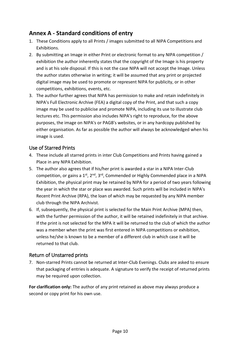## <span id="page-10-0"></span>**Annex A - Standard conditions of entry**

- 1. These Conditions apply to all Prints / images submitted to all NIPA Competitions and Exhibitions.
- 2. By submitting an Image in either Print or electronic format to any NIPA competition / exhibition the author inherently states that the copyright of the Image is his property and is at his sole disposal. If this is not the case NIPA will not accept the Image. Unless the author states otherwise in writing; it will be assumed that any print or projected digital image may be used to promote or represent NIPA for publicity, or in other competitions, exhibitions, events, etc.
- 3. The author further agrees that NIPA has permission to make and retain indefinitely in NIPA's Full Electronic Archive (FEA) a digital copy of the Print, and that such a copy image may be used to publicise and promote NIPA, including its use to illustrate club lectures etc. This permission also includes NIPA's right to reproduce, for the above purposes, the image on NIPA's or PAGB's websites, or in any hardcopy published by either organisation. As far as possible the author will always be acknowledged when his image is used.

#### <span id="page-10-1"></span>Use of Starred Prints

- 4. These include all starred prints in inter Club Competitions and Prints having gained a Place in any NIPA Exhibition.
- 5. The author also agrees that if his/her print is awarded a star in a NIPA Inter-Club competition, or gains a  $1^{st}$ ,  $2^{nd}$ ,  $3^{rd}$ , Commended or Highly Commended place in a NIPA Exhibition, the physical print may be retained by NIPA for a period of two years following the year in which the star or place was awarded. Such prints will be included in NIPA's Recent Print Archive (RPA), the loan of which may be requested by any NIPA member club through the NIPA Archivist.
- 6. If, subsequently, the physical print is selected for the Main Print Archive (MPA) then, with the further permission of the author, it will be retained indefinitely in that archive. If the print is not selected for the MPA it will be returned to the club of which the author was a member when the print was first entered in NIPA competitions or exhibition, unless he/she is known to be a member of a different club in which case it will be returned to that club.

#### <span id="page-10-2"></span>Return of Unstarred prints

7. Non-starred Prints cannot be returned at Inter-Club Evenings. Clubs are asked to ensure that packaging of entries is adequate. A signature to verify the receipt of returned prints may be required upon collection.

**For clarification only:** The author of any print retained as above may always produce a second or copy print for his own use.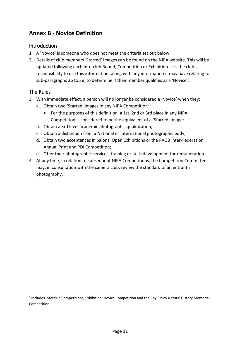## <span id="page-11-0"></span>**Annex B - Novice Definition**

#### <span id="page-11-1"></span>Introduction

- <span id="page-11-2"></span>1. A 'Novice' is someone who does not meet the criteria set out below.
- 2. Details of club members 'Starred' images can be found on the NIPA website. This will be updated following each Interclub Round, Competition or Exhibition. It is the club's responsibility to use this information, along with any information it may have relating to sub-paragraphs 3b to 3e, to determine if their member qualifies as a 'Novice'.

#### The Rules

l

- 3. With immediate effect, a person will no longer be considered a 'Novice' when they:
	- a. Obtain two 'Starred' images in any NIPA Competition<sup>1</sup>;
		- For the purposes of this definition, a 1st, 2nd or 3rd place in any NIPA Competition is considered to be the equivalent of a 'Starred' image;
	- b. Obtain a 3rd level academic photographic qualification;
	- c. Obtain a distinction from a National or International photographic body;
	- d. Obtain two acceptances in Salons, Open Exhibitions or the PAGB Inter-Federation Annual Print and PDI Competition;
	- e. Offer their photographic services, training or skills development for remuneration.
- 4. At any time, in relation to subsequent NIPA Competitions, the Competition Committee may, in consultation with the camera club, review the standard of an entrant's photography.

<sup>&</sup>lt;sup>1</sup> Includes Interclub Competitions, Exhibition, Novice Competition and the Roy Finlay Natural History Memorial Competition